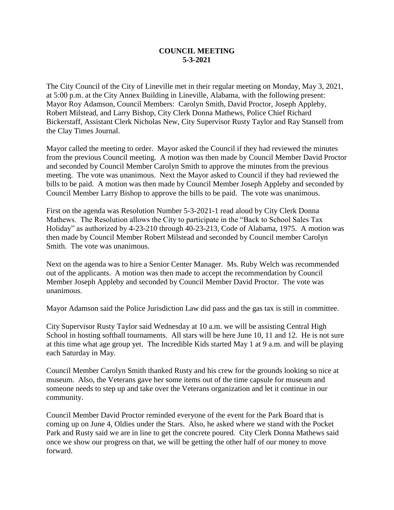## **COUNCIL MEETING 5-3-2021**

The City Council of the City of Lineville met in their regular meeting on Monday, May 3, 2021, at 5:00 p.m. at the City Annex Building in Lineville, Alabama, with the following present: Mayor Roy Adamson, Council Members: Carolyn Smith, David Proctor, Joseph Appleby, Robert Milstead, and Larry Bishop, City Clerk Donna Mathews, Police Chief Richard Bickerstaff, Assistant Clerk Nicholas New, City Supervisor Rusty Taylor and Ray Stansell from the Clay Times Journal.

Mayor called the meeting to order. Mayor asked the Council if they had reviewed the minutes from the previous Council meeting. A motion was then made by Council Member David Proctor and seconded by Council Member Carolyn Smith to approve the minutes from the previous meeting. The vote was unanimous. Next the Mayor asked to Council if they had reviewed the bills to be paid. A motion was then made by Council Member Joseph Appleby and seconded by Council Member Larry Bishop to approve the bills to be paid. The vote was unanimous.

First on the agenda was Resolution Number 5-3-2021-1 read aloud by City Clerk Donna Mathews. The Resolution allows the City to participate in the "Back to School Sales Tax Holiday" as authorized by 4-23-210 through 40-23-213, Code of Alabama, 1975. A motion was then made by Council Member Robert Milstead and seconded by Council member Carolyn Smith. The vote was unanimous.

Next on the agenda was to hire a Senior Center Manager. Ms. Ruby Welch was recommended out of the applicants. A motion was then made to accept the recommendation by Council Member Joseph Appleby and seconded by Council Member David Proctor. The vote was unanimous.

Mayor Adamson said the Police Jurisdiction Law did pass and the gas tax is still in committee.

City Supervisor Rusty Taylor said Wednesday at 10 a.m. we will be assisting Central High School in hosting softball tournaments. All stars will be here June 10, 11 and 12. He is not sure at this time what age group yet. The Incredible Kids started May 1 at 9 a.m. and will be playing each Saturday in May.

Council Member Carolyn Smith thanked Rusty and his crew for the grounds looking so nice at museum. Also, the Veterans gave her some items out of the time capsule for museum and someone needs to step up and take over the Veterans organization and let it continue in our community.

Council Member David Proctor reminded everyone of the event for the Park Board that is coming up on June 4, Oldies under the Stars. Also, he asked where we stand with the Pocket Park and Rusty said we are in line to get the concrete poured. City Clerk Donna Mathews said once we show our progress on that, we will be getting the other half of our money to move forward.